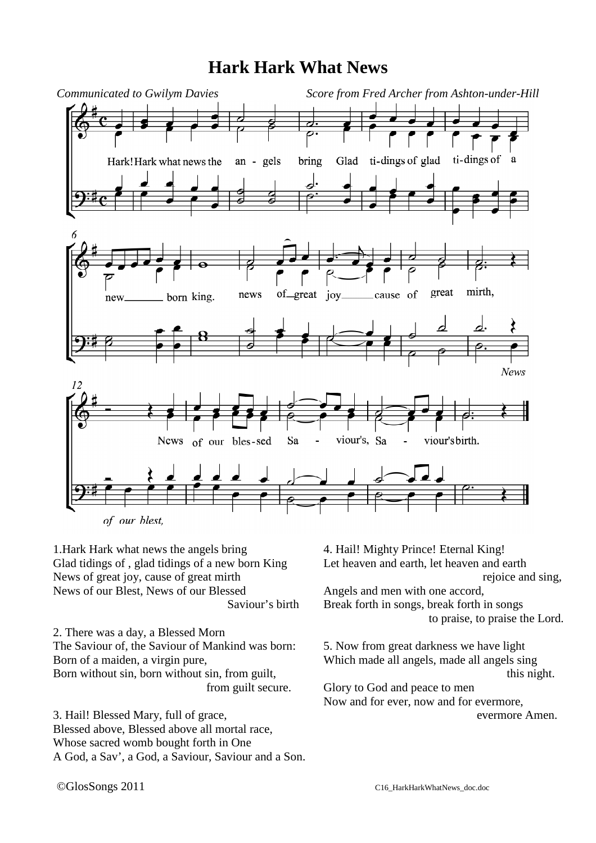## **Hark Hark What News**



1.Hark Hark what news the angels bring Glad tidings of , glad tidings of a new born King News of great joy, cause of great mirth News of our Blest, News of our Blessed Saviour's birth

2. There was a day, a Blessed Morn The Saviour of, the Saviour of Mankind was born: Born of a maiden, a virgin pure, Born without sin, born without sin, from guilt, from guilt secure.

3. Hail! Blessed Mary, full of grace, Blessed above, Blessed above all mortal race, Whose sacred womb bought forth in One A God, a Sav', a God, a Saviour, Saviour and a Son.

4. Hail! Mighty Prince! Eternal King! Let heaven and earth, let heaven and earth rejoice and sing, Angels and men with one accord, Break forth in songs, break forth in songs to praise, to praise the Lord.

5. Now from great darkness we have light Which made all angels, made all angels sing this night. Glory to God and peace to men Now and for ever, now and for evermore, evermore Amen.